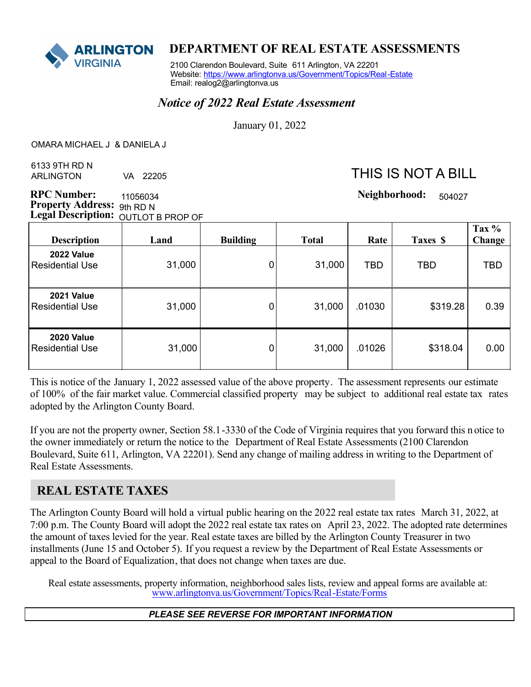

### **ARLINGTON DEPARTMENT OF REAL ESTATE ASSESSMENTS**

 2100 Clarendon Boulevard, Suite 611 Arlington, VA 22201 Website: https://www.arlingtonva.us/Government/Topics/Real-Estate Email: realog2@arlingtonva.us

### *Notice of 2022 Real Estate Assessment*

January 01, 2022

 $\overline{a}$ OMARA MICHAEL J & DANIELA J

 6133 9TH RD N ARLINGTON VA 22205

# THIS IS NOT A BILL

504027

**RPC Number:**  $\mu$  1056034 **1056034 1056034 1056031 1056031 1056031 1056031 1056031 1056031 1056031 1056031 1056031 1056031 1056031 1056031 1056031 1056031 1056031 1056031 1056031 1056 Property Address:** 9th RD N Legal Description: OUTLOT B PROP OF 11056034

| <b>Description</b>                   | Land   | <b>Building</b> | <b>Total</b> | Rate   | Taxes \$ | Tax %<br>Change |
|--------------------------------------|--------|-----------------|--------------|--------|----------|-----------------|
| <b>2022 Value</b><br>Residential Use | 31,000 | 0               | 31,000       | TBD    | TBD      | <b>TBD</b>      |
| <b>2021 Value</b><br>Residential Use | 31,000 | 0               | 31,000       | .01030 | \$319.28 | 0.39            |
| <b>2020 Value</b><br>Residential Use | 31,000 | 0               | 31,000       | .01026 | \$318.04 | 0.00            |

This is notice of the January 1, 2022 assessed value of the above property. The assessment represents our estimate of 100% of the fair market value. Commercial classified property may be subject to additional real estate tax rates adopted by the Arlington County Board.

If you are not the property owner, Section 58.1-3330 of the Code of Virginia requires that you forward this n otice to the owner immediately or return the notice to the Department of Real Estate Assessments (2100 Clarendon Boulevard, Suite 611, Arlington, VA 22201). Send any change of mailing address in writing to the Department of Real Estate Assessments.

## **REAL ESTATE TAXES**

The Arlington County Board will hold a virtual public hearing on the 2022 real estate tax rates March 31, 2022, at 7:00 p.m. The County Board will adopt the 2022 real estate tax rates on April 23, 2022. The adopted rate determines the amount of taxes levied for the year. Real estate taxes are billed by the Arlington County Treasurer in two installments (June 15 and October 5). If you request a review by the Department of Real Estate Assessments or appeal to the Board of Equalization, that does not change when taxes are due.

Real estate assessments, property information, neighborhood sales lists, review and appeal forms are available at: www.arlingtonva.us/Government/Topics/Real-Estate/Forms

#### *PLEASE SEE REVERSE FOR IMPORTANT INFORMATION*